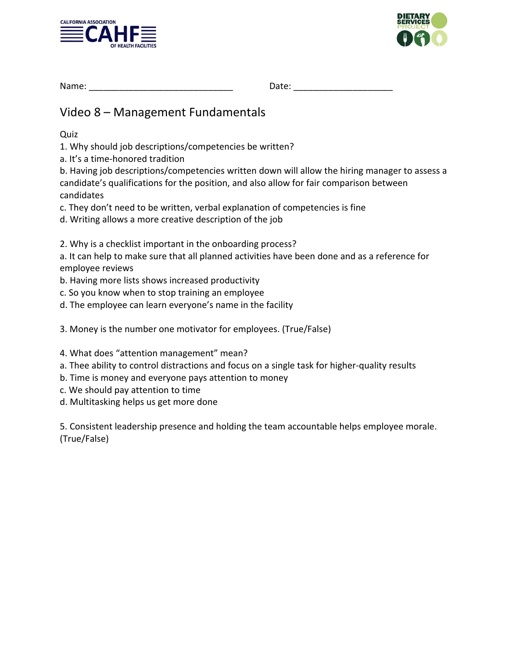



| Name: | . |  |
|-------|---|--|
|       |   |  |

## Video 8 – Management Fundamentals

Quiz

1. Why should job descriptions/competencies be written?

a. It's a time‐honored tradition

b. Having job descriptions/competencies written down will allow the hiring manager to assess a candidate's qualifications for the position, and also allow for fair comparison between candidates

c. They don't need to be written, verbal explanation of competencies is fine

d. Writing allows a more creative description of the job

2. Why is a checklist important in the onboarding process?

a. It can help to make sure that all planned activities have been done and as a reference for employee reviews

b. Having more lists shows increased productivity

c. So you know when to stop training an employee

d. The employee can learn everyone's name in the facility

3. Money is the number one motivator for employees. (True/False)

4. What does "attention management" mean?

- a. Thee ability to control distractions and focus on a single task for higher‐quality results
- b. Time is money and everyone pays attention to money
- c. We should pay attention to time

d. Multitasking helps us get more done

5. Consistent leadership presence and holding the team accountable helps employee morale. (True/False)